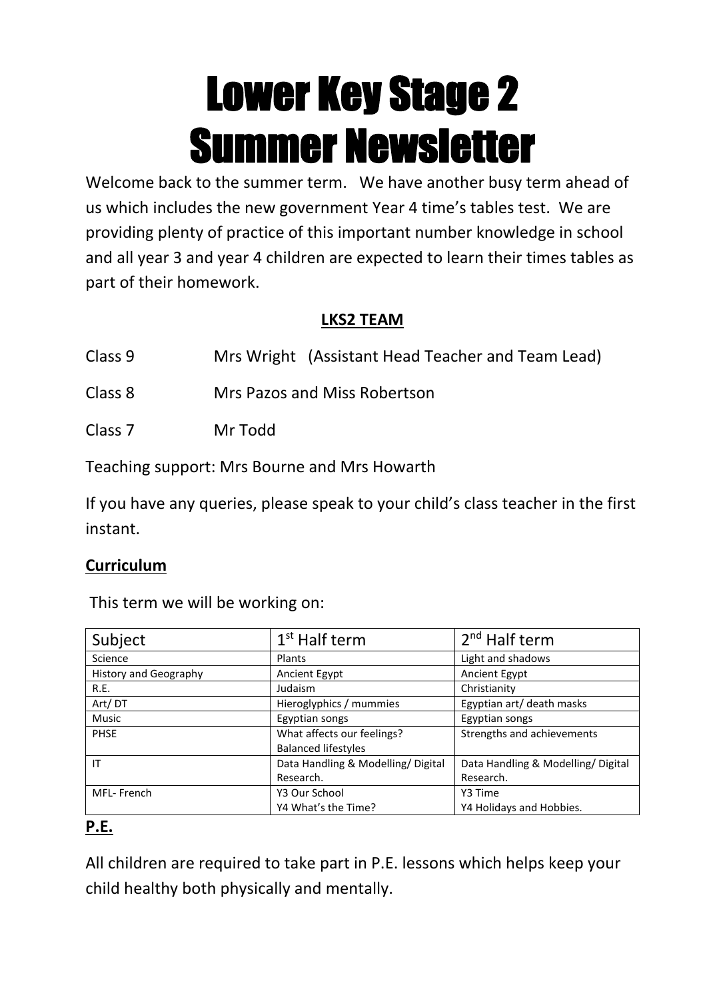# **Lower Key Stage 2 Summer Newsletter**

Welcome back to the summer term. We have another busy term ahead of us which includes the new government Year 4 time's tables test. We are providing plenty of practice of this important number knowledge in school and all year 3 and year 4 children are expected to learn their times tables as part of their homework.

#### **LKS2 TEAM**

- Class 9 Mrs Wright (Assistant Head Teacher and Team Lead)
- Class 8 Mrs Pazos and Miss Robertson
- Class 7 Mr Todd

Teaching support: Mrs Bourne and Mrs Howarth

If you have any queries, please speak to your child's class teacher in the first instant.

#### **Curriculum**

This term we will be working on:

| Subject                      | $1st$ Half term                   | 2 <sup>nd</sup> Half term         |
|------------------------------|-----------------------------------|-----------------------------------|
| Science                      | Plants                            | Light and shadows                 |
| <b>History and Geography</b> | Ancient Egypt                     | Ancient Egypt                     |
| R.E.                         | Judaism                           | Christianity                      |
| Art/DT                       | Hieroglyphics / mummies           | Egyptian art/ death masks         |
| <b>Music</b>                 | Egyptian songs                    | Egyptian songs                    |
| <b>PHSE</b>                  | What affects our feelings?        | Strengths and achievements        |
|                              | <b>Balanced lifestyles</b>        |                                   |
| IT                           | Data Handling & Modelling/Digital | Data Handling & Modelling/Digital |
|                              | Research.                         | Research.                         |
| MFL-French                   | Y3 Our School                     | Y3 Time                           |
|                              | Y4 What's the Time?               | Y4 Holidays and Hobbies.          |

#### **P.E.**

All children are required to take part in P.E. lessons which helps keep your child healthy both physically and mentally.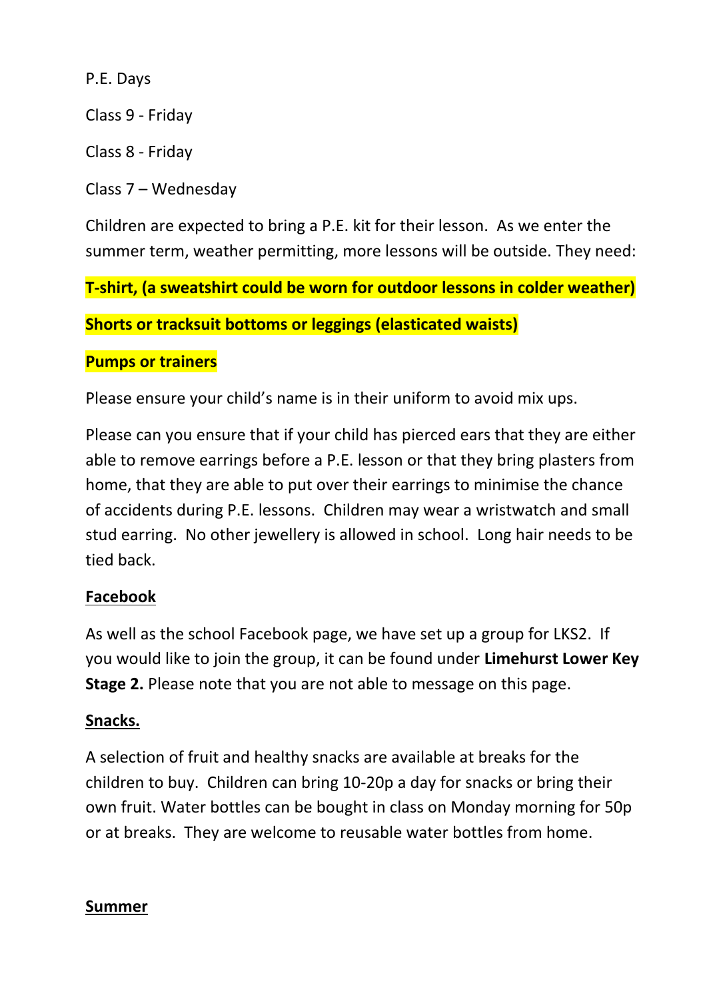P.E. Days

Class 9 - Friday

Class 8 - Friday

Class 7 – Wednesday

Children are expected to bring a P.E. kit for their lesson. As we enter the summer term, weather permitting, more lessons will be outside. They need:

**T-shirt, (a sweatshirt could be worn for outdoor lessons in colder weather)** 

**Shorts or tracksuit bottoms or leggings (elasticated waists)** 

#### **Pumps or trainers**

Please ensure your child's name is in their uniform to avoid mix ups.

Please can you ensure that if your child has pierced ears that they are either able to remove earrings before a P.E. lesson or that they bring plasters from home, that they are able to put over their earrings to minimise the chance of accidents during P.E. lessons. Children may wear a wristwatch and small stud earring. No other jewellery is allowed in school. Long hair needs to be tied back.

# **Facebook**

As well as the school Facebook page, we have set up a group for LKS2. If you would like to join the group, it can be found under **Limehurst Lower Key Stage 2.** Please note that you are not able to message on this page.

# **Snacks.**

A selection of fruit and healthy snacks are available at breaks for the children to buy. Children can bring 10-20p a day for snacks or bring their own fruit. Water bottles can be bought in class on Monday morning for 50p or at breaks. They are welcome to reusable water bottles from home.

# **Summer**